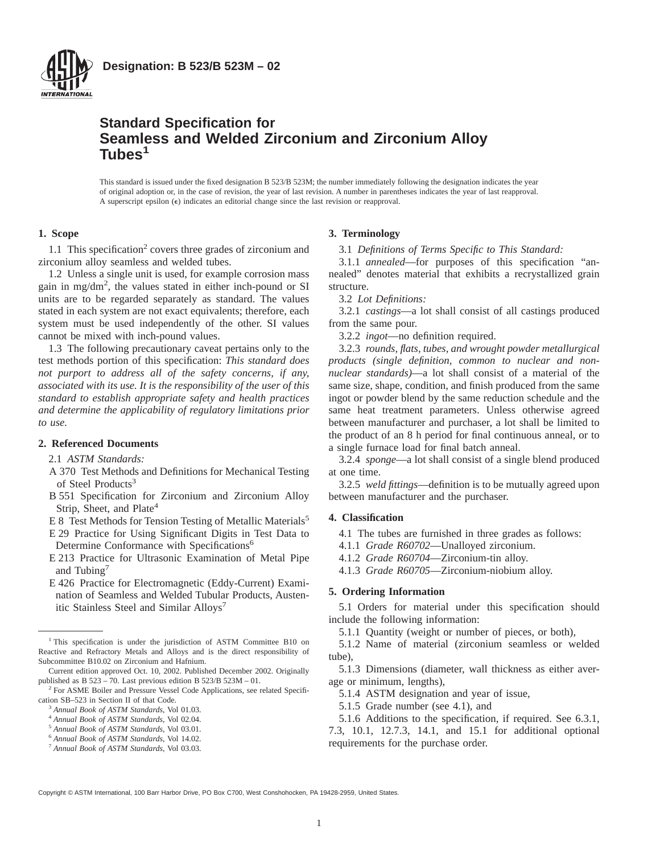

**Designation: B 523/B 523M – 02**

# **Standard Specification for Seamless and Welded Zirconium and Zirconium Alloy Tubes<sup>1</sup>**

This standard is issued under the fixed designation B 523/B 523M; the number immediately following the designation indicates the year of original adoption or, in the case of revision, the year of last revision. A number in parentheses indicates the year of last reapproval. A superscript epsilon (e) indicates an editorial change since the last revision or reapproval.

# **1. Scope**

1.1 This specification<sup>2</sup> covers three grades of zirconium and zirconium alloy seamless and welded tubes.

1.2 Unless a single unit is used, for example corrosion mass gain in mg/dm2 , the values stated in either inch-pound or SI units are to be regarded separately as standard. The values stated in each system are not exact equivalents; therefore, each system must be used independently of the other. SI values cannot be mixed with inch-pound values.

1.3 The following precautionary caveat pertains only to the test methods portion of this specification: *This standard does not purport to address all of the safety concerns, if any, associated with its use. It is the responsibility of the user of this standard to establish appropriate safety and health practices and determine the applicability of regulatory limitations prior to use.*

# **2. Referenced Documents**

#### 2.1 *ASTM Standards:*

- A 370 Test Methods and Definitions for Mechanical Testing of Steel Products<sup>3</sup>
- B 551 Specification for Zirconium and Zirconium Alloy Strip, Sheet, and Plate<sup>4</sup>
- E 8 Test Methods for Tension Testing of Metallic Materials<sup>5</sup>
- E 29 Practice for Using Significant Digits in Test Data to Determine Conformance with Specifications<sup>6</sup>
- E 213 Practice for Ultrasonic Examination of Metal Pipe and Tubing<sup>7</sup>
- E 426 Practice for Electromagnetic (Eddy-Current) Examination of Seamless and Welded Tubular Products, Austenitic Stainless Steel and Similar Alloys<sup>7</sup>

<sup>1</sup> This specification is under the jurisdiction of ASTM Committee B10 on Reactive and Refractory Metals and Alloys and is the direct responsibility of Subcommittee B10.02 on Zirconium and Hafnium.

Current edition approved Oct. 10, 2002. Published December 2002. Originally published as B 523 – 70. Last previous edition B 523/B 523M – 01.

- <sup>3</sup> *Annual Book of ASTM Standards*, Vol 01.03.
- <sup>4</sup> *Annual Book of ASTM Standards*, Vol 02.04.
- <sup>5</sup> *Annual Book of ASTM Standards*, Vol 03.01.
- <sup>6</sup> *Annual Book of ASTM Standards*, Vol 14.02.
- <sup>7</sup> *Annual Book of ASTM Standards*, Vol 03.03.

#### **3. Terminology**

3.1 *Definitions of Terms Specific to This Standard:*

3.1.1 *annealed*—for purposes of this specification "annealed" denotes material that exhibits a recrystallized grain structure.

3.2 *Lot Definitions:*

3.2.1 *castings*—a lot shall consist of all castings produced from the same pour.

3.2.2 *ingot*—no definition required.

3.2.3 *rounds, flats, tubes, and wrought powder metallurgical products (single definition, common to nuclear and nonnuclear standards)*—a lot shall consist of a material of the same size, shape, condition, and finish produced from the same ingot or powder blend by the same reduction schedule and the same heat treatment parameters. Unless otherwise agreed between manufacturer and purchaser, a lot shall be limited to the product of an 8 h period for final continuous anneal, or to a single furnace load for final batch anneal.

3.2.4 *sponge*—a lot shall consist of a single blend produced at one time.

3.2.5 *weld fittings*—definition is to be mutually agreed upon between manufacturer and the purchaser.

#### **4. Classification**

4.1 The tubes are furnished in three grades as follows:

4.1.1 *Grade R60702*—Unalloyed zirconium.

4.1.2 *Grade R60704*—Zirconium-tin alloy.

4.1.3 *Grade R60705*—Zirconium-niobium alloy.

# **5. Ordering Information**

5.1 Orders for material under this specification should include the following information:

5.1.1 Quantity (weight or number of pieces, or both),

5.1.2 Name of material (zirconium seamless or welded tube).

5.1.3 Dimensions (diameter, wall thickness as either average or minimum, lengths),

5.1.4 ASTM designation and year of issue,

5.1.5 Grade number (see 4.1), and

5.1.6 Additions to the specification, if required. See 6.3.1, 7.3, 10.1, 12.7.3, 14.1, and 15.1 for additional optional requirements for the purchase order.

Copyright © ASTM International, 100 Barr Harbor Drive, PO Box C700, West Conshohocken, PA 19428-2959, United States.

<sup>&</sup>lt;sup>2</sup> For ASME Boiler and Pressure Vessel Code Applications, see related Specification SB–523 in Section II of that Code.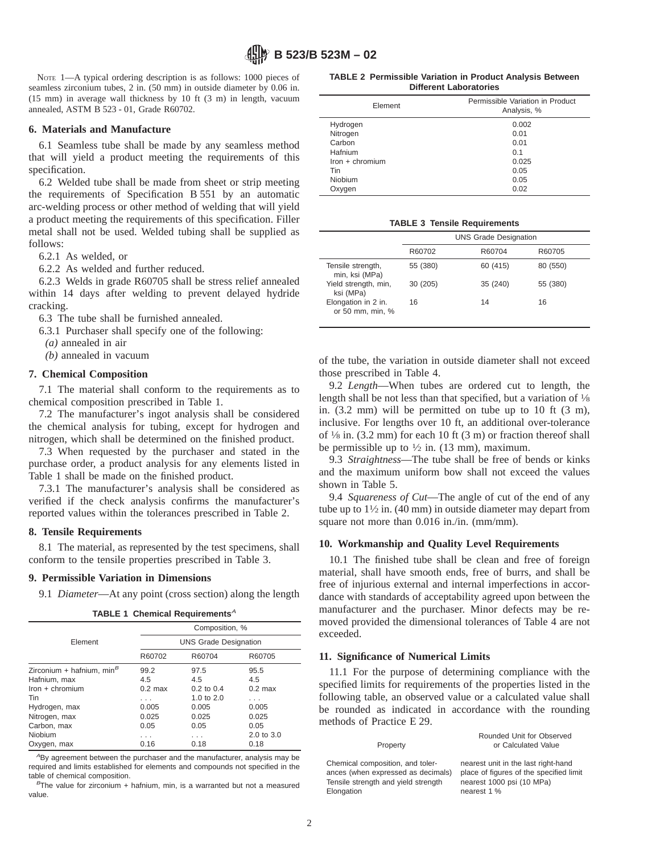NOTE 1—A typical ordering description is as follows: 1000 pieces of seamless zirconium tubes, 2 in. (50 mm) in outside diameter by 0.06 in. (15 mm) in average wall thickness by 10 ft (3 m) in length, vacuum annealed, ASTM B 523 - 01, Grade R60702.

#### **6. Materials and Manufacture**

6.1 Seamless tube shall be made by any seamless method that will yield a product meeting the requirements of this specification.

6.2 Welded tube shall be made from sheet or strip meeting the requirements of Specification B 551 by an automatic arc-welding process or other method of welding that will yield a product meeting the requirements of this specification. Filler metal shall not be used. Welded tubing shall be supplied as follows:

6.2.1 As welded, or

6.2.2 As welded and further reduced.

6.2.3 Welds in grade R60705 shall be stress relief annealed within 14 days after welding to prevent delayed hydride cracking.

6.3 The tube shall be furnished annealed.

6.3.1 Purchaser shall specify one of the following:

*(a)* annealed in air

*(b)* annealed in vacuum

#### **7. Chemical Composition**

7.1 The material shall conform to the requirements as to chemical composition prescribed in Table 1.

7.2 The manufacturer's ingot analysis shall be considered the chemical analysis for tubing, except for hydrogen and nitrogen, which shall be determined on the finished product.

7.3 When requested by the purchaser and stated in the purchase order, a product analysis for any elements listed in Table 1 shall be made on the finished product.

7.3.1 The manufacturer's analysis shall be considered as verified if the check analysis confirms the manufacturer's reported values within the tolerances prescribed in Table 2.

#### **8. Tensile Requirements**

8.1 The material, as represented by the test specimens, shall conform to the tensile properties prescribed in Table 3.

#### **9. Permissible Variation in Dimensions**

9.1 *Diameter*—At any point (cross section) along the length

|  |  | TABLE 1 Chemical Requirements $^A$ |
|--|--|------------------------------------|
|--|--|------------------------------------|

|                               | Composition, %<br><b>UNS Grade Designation</b> |                |            |  |
|-------------------------------|------------------------------------------------|----------------|------------|--|
| Element                       |                                                |                |            |  |
|                               | R60702                                         | R60704         | R60705     |  |
| Zirconium + hafnium, min $^B$ | 99.2                                           | 97.5           | 95.5       |  |
| Hafnium, max                  | 4.5                                            | 4.5            | 4.5        |  |
| $lron + chromium$             | $0.2$ max                                      | $0.2$ to $0.4$ | $0.2$ max  |  |
| Tin                           | .                                              | 1.0 to $2.0$   | .          |  |
| Hydrogen, max                 | 0.005                                          | 0.005          | 0.005      |  |
| Nitrogen, max                 | 0.025                                          | 0.025          | 0.025      |  |
| Carbon, max                   | 0.05                                           | 0.05           | 0.05       |  |
| Niobium                       | .                                              | .              | 2.0 to 3.0 |  |
| Oxygen, max                   | 0.16                                           | 0.18           | 0.18       |  |

 $A$ By agreement between the purchaser and the manufacturer, analysis may be required and limits established for elements and compounds not specified in the table of chemical composition.

 $B$ The value for zirconium + hafnium, min, is a warranted but not a measured value.

| <b>TABLE 2 Permissible Variation in Product Analysis Between</b> |                               |  |  |
|------------------------------------------------------------------|-------------------------------|--|--|
|                                                                  | <b>Different Laboratories</b> |  |  |

| Element           | Permissible Variation in Product<br>Analysis, % |
|-------------------|-------------------------------------------------|
| Hydrogen          | 0.002                                           |
| Nitrogen          | 0.01                                            |
| Carbon            | 0.01                                            |
| Hafnium           | 0.1                                             |
| $lron + chromium$ | 0.025                                           |
| Tin               | 0.05                                            |
| <b>Niobium</b>    | 0.05                                            |
| Oxygen            | 0.02                                            |

**TABLE 3 Tensile Requirements**

|                                         | <b>UNS Grade Designation</b> |          |          |
|-----------------------------------------|------------------------------|----------|----------|
|                                         | R60702                       | R60704   | R60705   |
| Tensile strength,<br>min, ksi (MPa)     | 55 (380)                     | 60 (415) | 80 (550) |
| Yield strength, min,<br>ksi (MPa)       | 30 (205)                     | 35 (240) | 55 (380) |
| Elongation in 2 in.<br>or 50 mm, min, % | 16                           | 14       | 16       |

of the tube, the variation in outside diameter shall not exceed those prescribed in Table 4.

9.2 *Length*—When tubes are ordered cut to length, the length shall be not less than that specified, but a variation of  $\frac{1}{8}$ in. (3.2 mm) will be permitted on tube up to 10 ft (3 m), inclusive. For lengths over 10 ft, an additional over-tolerance of  $\frac{1}{8}$  in. (3.2 mm) for each 10 ft (3 m) or fraction thereof shall be permissible up to  $\frac{1}{2}$  in. (13 mm), maximum.

9.3 *Straightness*—The tube shall be free of bends or kinks and the maximum uniform bow shall not exceed the values shown in Table 5.

9.4 *Squareness of Cut*—The angle of cut of the end of any tube up to  $1\frac{1}{2}$  in. (40 mm) in outside diameter may depart from square not more than 0.016 in./in. (mm/mm).

#### **10. Workmanship and Quality Level Requirements**

10.1 The finished tube shall be clean and free of foreign material, shall have smooth ends, free of burrs, and shall be free of injurious external and internal imperfections in accordance with standards of acceptability agreed upon between the manufacturer and the purchaser. Minor defects may be removed provided the dimensional tolerances of Table 4 are not exceeded.

#### **11. Significance of Numerical Limits**

Elongation nearest 1 %

11.1 For the purpose of determining compliance with the specified limits for requirements of the properties listed in the following table, an observed value or a calculated value shall be rounded as indicated in accordance with the rounding methods of Practice E 29.

| Property                            | Rounded Unit for Observed<br>or Calculated Value |
|-------------------------------------|--------------------------------------------------|
| Chemical composition, and toler-    | nearest unit in the last right-hand              |
| ances (when expressed as decimals)  | place of figures of the specified limit          |
| Tensile strength and yield strength | nearest 1000 psi (10 MPa)                        |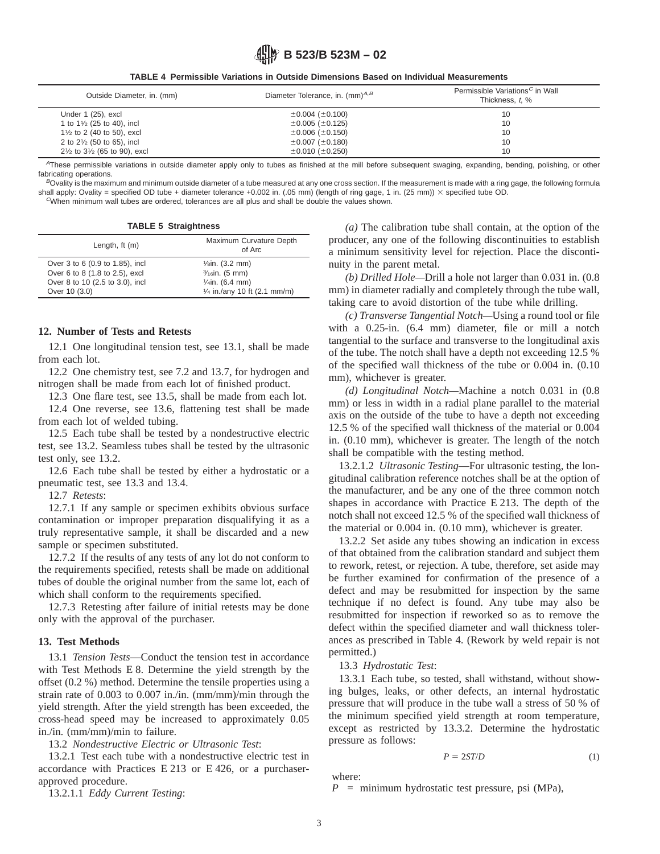**B 523/B 523M – 02**

**TABLE 4 Permissible Variations in Outside Dimensions Based on Individual Measurements**

| Outside Diameter, in. (mm)                        | Diameter Tolerance, in. $(mm)^{A,B}$ | Permissible Variations <sup>C</sup> in Wall<br>Thickness, t, % |
|---------------------------------------------------|--------------------------------------|----------------------------------------------------------------|
| Under 1 (25), excl                                | $\pm 0.004$ ( $\pm 0.100$ )          | 10                                                             |
| 1 to $1\frac{1}{2}$ (25 to 40), incl              | $\pm 0.005$ ( $\pm 0.125$ )          | 10                                                             |
| $1\frac{1}{2}$ to 2 (40 to 50), excl              | $\pm 0.006$ ( $\pm 0.150$ )          | 10                                                             |
| 2 to $2\frac{1}{2}$ (50 to 65), incl              | $\pm 0.007$ ( $\pm 0.180$ )          | 10                                                             |
| $2\frac{1}{2}$ to $3\frac{1}{2}$ (65 to 90), excl | $\pm 0.010$ ( $\pm 0.250$ )          | 10                                                             |

<sup>A</sup>These permissible variations in outside diameter apply only to tubes as finished at the mill before subsequent swaging, expanding, bending, polishing, or other fabricating operations.

 $B$ Ovality is the maximum and minimum outside diameter of a tube measured at any one cross section. If the measurement is made with a ring gage, the following formula shall apply: Ovality = specified OD tube + diameter tolerance +0.002 in. (.05 mm) (length of ring gage, 1 in. (25 mm))  $\times$  specified tube OD. <sup>C</sup>When minimum wall tubes are ordered, tolerances are all plus and shall be double the values shown.

**TABLE 5 Straightness**

| Length, $ft(m)$                 | Maximum Curvature Depth<br>of Arc      |
|---------------------------------|----------------------------------------|
| Over 3 to 6 (0.9 to 1.85), incl | $\frac{1}{\sin}$ (3.2 mm)              |
| Over 6 to 8 (1.8 to 2.5), excl  | $\frac{3}{16}$ in. (5 mm)              |
| Over 8 to 10 (2.5 to 3.0), incl | $1/4$ in. (6.4 mm)                     |
| Over 10 (3.0)                   | $\frac{1}{4}$ in./any 10 ft (2.1 mm/m) |

# **12. Number of Tests and Retests**

12.1 One longitudinal tension test, see 13.1, shall be made from each lot.

12.2 One chemistry test, see 7.2 and 13.7, for hydrogen and nitrogen shall be made from each lot of finished product.

12.3 One flare test, see 13.5, shall be made from each lot.

12.4 One reverse, see 13.6, flattening test shall be made from each lot of welded tubing.

12.5 Each tube shall be tested by a nondestructive electric test, see 13.2. Seamless tubes shall be tested by the ultrasonic test only, see 13.2.

12.6 Each tube shall be tested by either a hydrostatic or a pneumatic test, see 13.3 and 13.4.

12.7 *Retests*:

12.7.1 If any sample or specimen exhibits obvious surface contamination or improper preparation disqualifying it as a truly representative sample, it shall be discarded and a new sample or specimen substituted.

12.7.2 If the results of any tests of any lot do not conform to the requirements specified, retests shall be made on additional tubes of double the original number from the same lot, each of which shall conform to the requirements specified.

12.7.3 Retesting after failure of initial retests may be done only with the approval of the purchaser.

### **13. Test Methods**

13.1 *Tension Tests*—Conduct the tension test in accordance with Test Methods E 8. Determine the yield strength by the offset (0.2 %) method. Determine the tensile properties using a strain rate of 0.003 to 0.007 in./in. (mm/mm)/min through the yield strength. After the yield strength has been exceeded, the cross-head speed may be increased to approximately 0.05 in./in. (mm/mm)/min to failure.

13.2 *Nondestructive Electric or Ultrasonic Test*:

13.2.1 Test each tube with a nondestructive electric test in accordance with Practices E 213 or E 426, or a purchaserapproved procedure.

13.2.1.1 *Eddy Current Testing*:

*(a)* The calibration tube shall contain, at the option of the producer, any one of the following discontinuities to establish a minimum sensitivity level for rejection. Place the discontinuity in the parent metal.

*(b) Drilled Hole—*Drill a hole not larger than 0.031 in. (0.8 mm) in diameter radially and completely through the tube wall, taking care to avoid distortion of the tube while drilling.

*(c) Transverse Tangential Notch—*Using a round tool or file with a 0.25-in. (6.4 mm) diameter, file or mill a notch tangential to the surface and transverse to the longitudinal axis of the tube. The notch shall have a depth not exceeding 12.5 % of the specified wall thickness of the tube or 0.004 in. (0.10 mm), whichever is greater.

*(d) Longitudinal Notch—*Machine a notch 0.031 in (0.8 mm) or less in width in a radial plane parallel to the material axis on the outside of the tube to have a depth not exceeding 12.5 % of the specified wall thickness of the material or 0.004 in. (0.10 mm), whichever is greater. The length of the notch shall be compatible with the testing method.

13.2.1.2 *Ultrasonic Testing*—For ultrasonic testing, the longitudinal calibration reference notches shall be at the option of the manufacturer, and be any one of the three common notch shapes in accordance with Practice E 213. The depth of the notch shall not exceed 12.5 % of the specified wall thickness of the material or 0.004 in. (0.10 mm), whichever is greater.

13.2.2 Set aside any tubes showing an indication in excess of that obtained from the calibration standard and subject them to rework, retest, or rejection. A tube, therefore, set aside may be further examined for confirmation of the presence of a defect and may be resubmitted for inspection by the same technique if no defect is found. Any tube may also be resubmitted for inspection if reworked so as to remove the defect within the specified diameter and wall thickness tolerances as prescribed in Table 4. (Rework by weld repair is not permitted.)

#### 13.3 *Hydrostatic Test*:

13.3.1 Each tube, so tested, shall withstand, without showing bulges, leaks, or other defects, an internal hydrostatic pressure that will produce in the tube wall a stress of 50 % of the minimum specified yield strength at room temperature, except as restricted by 13.3.2. Determine the hydrostatic pressure as follows:

$$
P = 2ST/D \tag{1}
$$

where:

*P* = minimum hydrostatic test pressure, psi (MPa),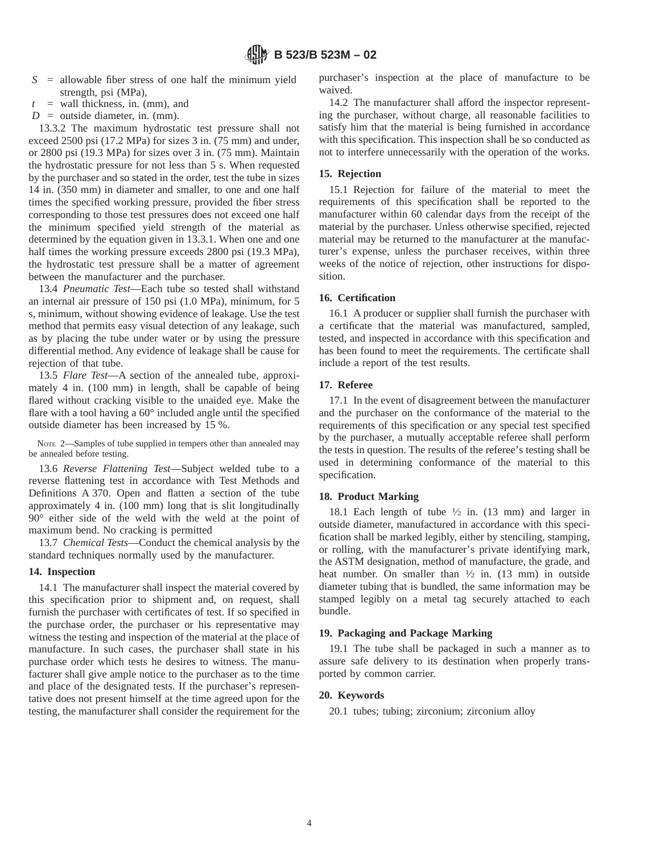- *S* = allowable fiber stress of one half the minimum yield strength, psi (MPa),
- $t =$  wall thickness, in. (mm), and
- $D =$  outside diameter, in. (mm).

13.3.2 The maximum hydrostatic test pressure shall not exceed 2500 psi (17.2 MPa) for sizes 3 in. (75 mm) and under, or 2800 psi (19.3 MPa) for sizes over 3 in. (75 mm). Maintain the hydrostatic pressure for not less than 5 s. When requested by the purchaser and so stated in the order, test the tube in sizes 14 in. (350 mm) in diameter and smaller, to one and one half times the specified working pressure, provided the fiber stress corresponding to those test pressures does not exceed one half the minimum specified yield strength of the material as determined by the equation given in 13.3.1. When one and one half times the working pressure exceeds 2800 psi (19.3 MPa), the hydrostatic test pressure shall be a matter of agreement between the manufacturer and the purchaser.

13.4 *Pneumatic Test*—Each tube so tested shall withstand an internal air pressure of 150 psi (1.0 MPa), minimum, for 5 s, minimum, without showing evidence of leakage. Use the test method that permits easy visual detection of any leakage, such as by placing the tube under water or by using the pressure differential method. Any evidence of leakage shall be cause for rejection of that tube.

13.5 *Flare Test*—A section of the annealed tube, approximately 4 in. (100 mm) in length, shall be capable of being flared without cracking visible to the unaided eye. Make the flare with a tool having a 60° included angle until the specified outside diameter has been increased by 15 %.

NOTE 2—Samples of tube supplied in tempers other than annealed may be annealed before testing.

13.6 *Reverse Flattening Test*—Subject welded tube to a reverse flattening test in accordance with Test Methods and Definitions A 370. Open and flatten a section of the tube approximately 4 in. (100 mm) long that is slit longitudinally 90° either side of the weld with the weld at the point of maximum bend. No cracking is permitted

13.7 *Chemical Tests*—Conduct the chemical analysis by the standard techniques normally used by the manufacturer.

# **14. Inspection**

14.1 The manufacturer shall inspect the material covered by this specification prior to shipment and, on request, shall furnish the purchaser with certificates of test. If so specified in the purchase order, the purchaser or his representative may witness the testing and inspection of the material at the place of manufacture. In such cases, the purchaser shall state in his purchase order which tests he desires to witness. The manufacturer shall give ample notice to the purchaser as to the time and place of the designated tests. If the purchaser's representative does not present himself at the time agreed upon for the testing, the manufacturer shall consider the requirement for the purchaser's inspection at the place of manufacture to be waived.

14.2 The manufacturer shall afford the inspector representing the purchaser, without charge, all reasonable facilities to satisfy him that the material is being furnished in accordance with this specification. This inspection shall be so conducted as not to interfere unnecessarily with the operation of the works.

# **15. Rejection**

15.1 Rejection for failure of the material to meet the requirements of this specification shall be reported to the manufacturer within 60 calendar days from the receipt of the material by the purchaser. Unless otherwise specified, rejected material may be returned to the manufacturer at the manufacturer's expense, unless the purchaser receives, within three weeks of the notice of rejection, other instructions for disposition.

# **16. Certification**

16.1 A producer or supplier shall furnish the purchaser with a certificate that the material was manufactured, sampled, tested, and inspected in accordance with this specification and has been found to meet the requirements. The certificate shall include a report of the test results.

# **17. Referee**

17.1 In the event of disagreement between the manufacturer and the purchaser on the conformance of the material to the requirements of this specification or any special test specified by the purchaser, a mutually acceptable referee shall perform the tests in question. The results of the referee's testing shall be used in determining conformance of the material to this specification.

# **18. Product Marking**

18.1 Each length of tube  $\frac{1}{2}$  in. (13 mm) and larger in outside diameter, manufactured in accordance with this specification shall be marked legibly, either by stenciling, stamping, or rolling, with the manufacturer's private identifying mark, the ASTM designation, method of manufacture, the grade, and heat number. On smaller than  $\frac{1}{2}$  in. (13 mm) in outside diameter tubing that is bundled, the same information may be stamped legibly on a metal tag securely attached to each bundle.

# **19. Packaging and Package Marking**

19.1 The tube shall be packaged in such a manner as to assure safe delivery to its destination when properly transported by common carrier.

# **20. Keywords**

20.1 tubes; tubing; zirconium; zirconium alloy